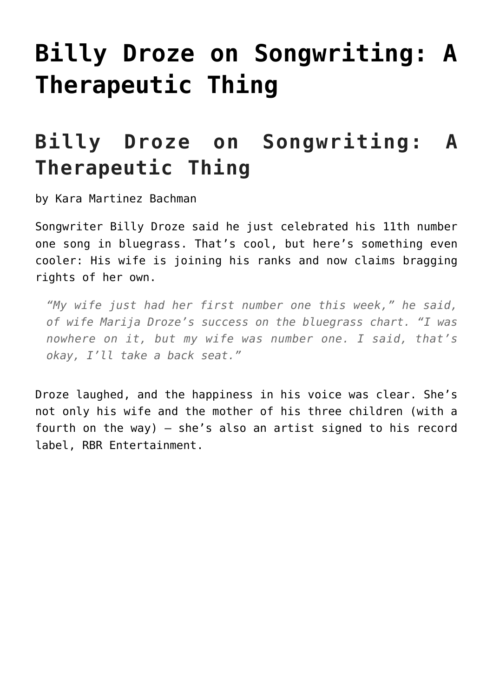## **[Billy Droze on Songwriting: A](https://thebluegrassstandard.com/billy-droze-on-songwriting-a-therapeutic-thing/) [Therapeutic Thing](https://thebluegrassstandard.com/billy-droze-on-songwriting-a-therapeutic-thing/)**

## **Billy Droze on Songwriting: A Therapeutic Thing**

by Kara Martinez Bachman

Songwriter Billy Droze said he just celebrated his 11th number one song in bluegrass. That's cool, but here's something even cooler: His wife is joining his ranks and now claims bragging rights of her own.

*"My wife just had her first number one this week," he said, of wife Marija Droze's success on the bluegrass chart. "I was nowhere on it, but my wife was number one. I said, that's okay, I'll take a back seat."*

Droze laughed, and the happiness in his voice was clear. She's not only his wife and the mother of his three children (with a fourth on the way) — she's also an artist signed to his record label, RBR Entertainment.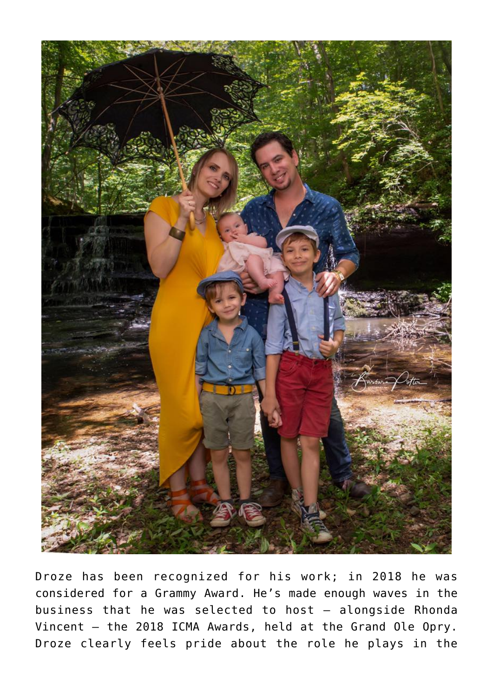

Droze has been recognized for his work; in 2018 he was considered for a Grammy Award. He's made enough waves in the business that he was selected to host — alongside Rhonda Vincent — the 2018 ICMA Awards, held at the Grand Ole Opry. Droze clearly feels pride about the role he plays in the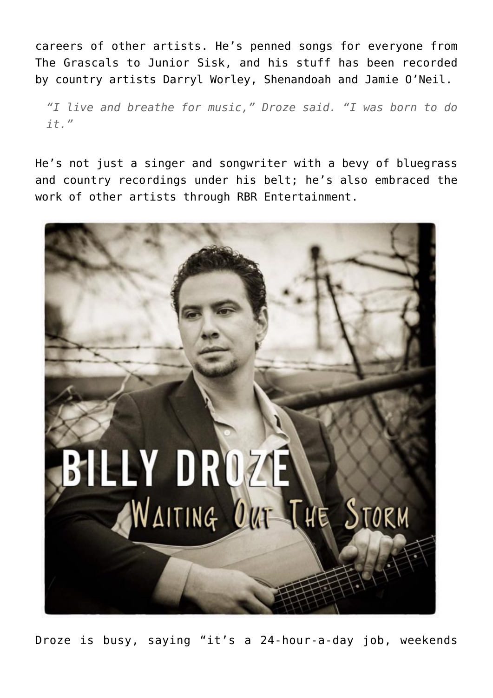careers of other artists. He's penned songs for everyone from The Grascals to Junior Sisk, and his stuff has been recorded by country artists Darryl Worley, Shenandoah and Jamie O'Neil.

*"I live and breathe for music," Droze said. "I was born to do it."*

He's not just a singer and songwriter with a bevy of bluegrass and country recordings under his belt; he's also embraced the work of other artists through RBR Entertainment.



Droze is busy, saying "it's a 24-hour-a-day job, weekends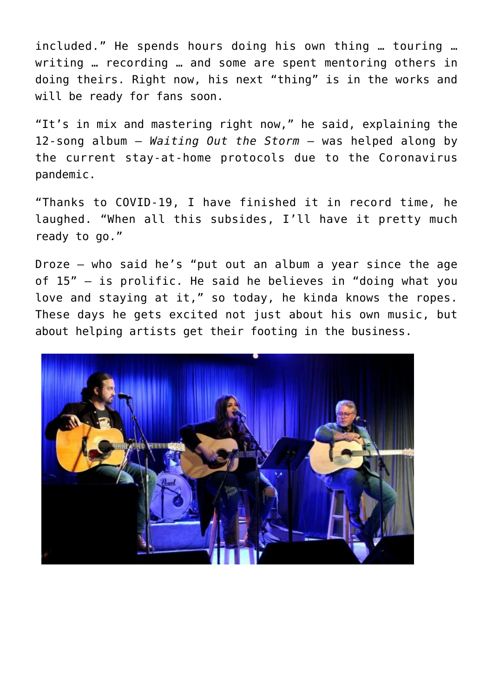included." He spends hours doing his own thing … touring … writing … recording … and some are spent mentoring others in doing theirs. Right now, his next "thing" is in the works and will be ready for fans soon.

"It's in mix and mastering right now," he said, explaining the 12-song album — *Waiting Out the Storm* — was helped along by the current stay-at-home protocols due to the Coronavirus pandemic.

"Thanks to COVID-19, I have finished it in record time, he laughed. "When all this subsides, I'll have it pretty much ready to go."

Droze — who said he's "put out an album a year since the age of 15" — is prolific. He said he believes in "doing what you love and staying at it," so today, he kinda knows the ropes. These days he gets excited not just about his own music, but about helping artists get their footing in the business.

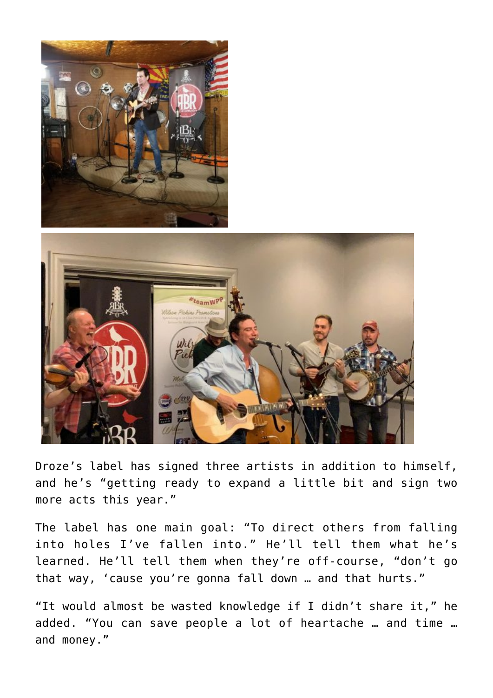

Droze's label has signed three artists in addition to himself, and he's "getting ready to expand a little bit and sign two more acts this year."

The label has one main goal: "To direct others from falling into holes I've fallen into." He'll tell them what he's learned. He'll tell them when they're off-course, "don't go that way, 'cause you're gonna fall down … and that hurts."

"It would almost be wasted knowledge if I didn't share it," he added. "You can save people a lot of heartache … and time … and money."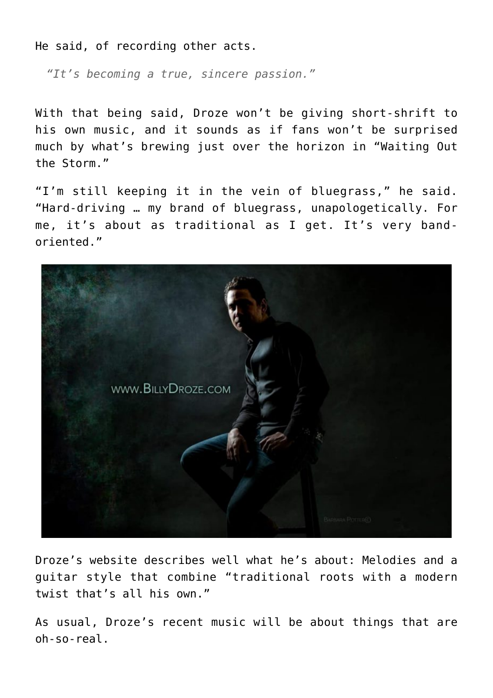He said, of recording other acts.

*"It's becoming a true, sincere passion."*

With that being said, Droze won't be giving short-shrift to his own music, and it sounds as if fans won't be surprised much by what's brewing just over the horizon in "Waiting Out the Storm."

"I'm still keeping it in the vein of bluegrass," he said. "Hard-driving … my brand of bluegrass, unapologetically. For me, it's about as traditional as I get. It's very bandoriented."



Droze's website describes well what he's about: Melodies and a guitar style that combine "traditional roots with a modern twist that's all his own."

As usual, Droze's recent music will be about things that are oh-so-real.